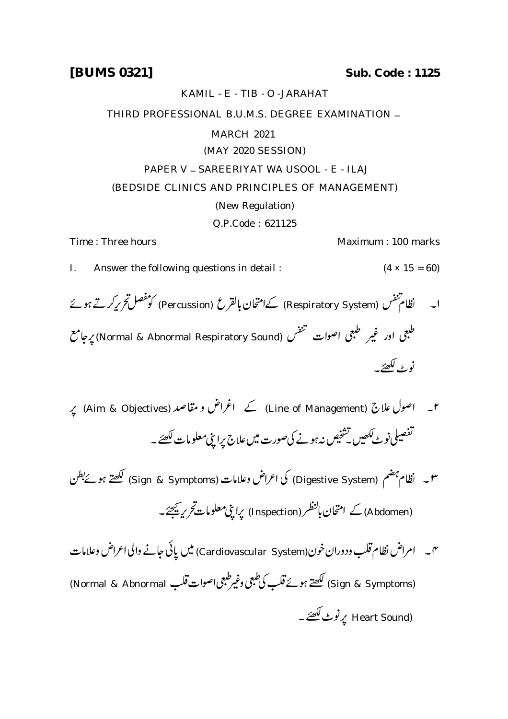**[BUMS 0321] Sub. Code : 1125**

KAMIL - E - TIB - O -JARAHAT

THIRD PROFESSIONAL B.U.M.S. DEGREE EXAMINATION -

## MARCH 2021

## (MAY 2020 SESSION)

## PAPER V - SAREERIYAT WA USOOL - E - ILAJ (BEDSIDE CLINICS AND PRINCIPLES OF MANAGEMENT)

## (New Regulation)

Q.P.Code : 621125

Time : Three hours **Maximum** : 100 marks

- I. Answer the following questions in detail :  $(4 \times 15 = 60)$
- ا۔ نظام تنفس (Respiratory System) کےامتحان بالقرع (Percussion) کو مفصل تحریرکرتے ہوئے طبعی اور غیر طبعی اصوات منتقس (Normal & Abnormal Respiratory Sound) پرجامع نوٹ لکھئے۔
- ۲۔ اصول علاج (Line of Management) کے اغراض و مقاصد (Aim & Objectives) پہ تفصیلی نوٹ لکھیں کسخیص نہ ہونے کی صورت میں علاج پرا بپی معلومات لکھئے ۔
- س نظام بہضم (Digestive System) کی اعراض وعلامات (Sign & Symptoms) لکھتے ہوئےبطن (Abdomen) کے امتحان بالنظر (Inspection) پراچی معلومات ت*حری*ہ ﷺ ۔
- نہ ۔ امراض نظام قلب ودوران خون(Cardiovascular System) میں پانی جانے والی اعراض وعلامات (Sign & Symptoms) لکھتے ہوئے قلب کی طبعی وغیرطبعی اصوات قلب Normal & Abnormal) (Heart Sound پرنوٹ لکھتے ۔